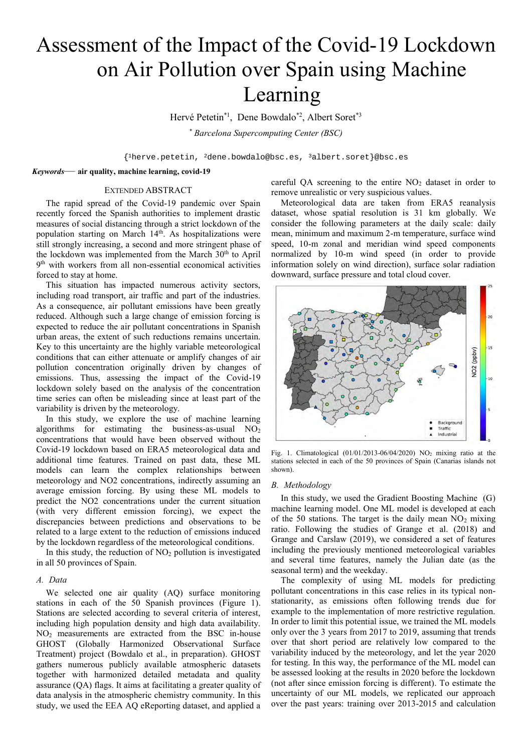# Assessment of the Impact of the Covid-19 Lockdown on Air Pollution over Spain using Machine Learning

Hervé Petetin<sup>\*1</sup>, Dene Bowdalo<sup>\*2</sup>, Albert Soret<sup>\*3</sup>

*\* Barcelona Supercomputing Center (BSC)*

 ${1}$ herve.petetin, <sup>2</sup>dene.bowdalo@bsc.es, <sup>3</sup>albert.soret}@bsc.es

*Keywords*— **air quality, machine learning, covid-19**

# EXTENDED ABSTRACT

The rapid spread of the Covid-19 pandemic over Spain recently forced the Spanish authorities to implement drastic measures of social distancing through a strict lockdown of the population starting on March 14<sup>th</sup>. As hospitalizations were still strongly increasing, a second and more stringent phase of the lockdown was implemented from the March 30<sup>th</sup> to April 9 th with workers from all non-essential economical activities forced to stay at home.

This situation has impacted numerous activity sectors, including road transport, air traffic and part of the industries. As a consequence, air pollutant emissions have been greatly reduced. Although such a large change of emission forcing is expected to reduce the air pollutant concentrations in Spanish urban areas, the extent of such reductions remains uncertain. Key to this uncertainty are the highly variable meteorological conditions that can either attenuate or amplify changes of air pollution concentration originally driven by changes of emissions. Thus, assessing the impact of the Covid-19 lockdown solely based on the analysis of the concentration time series can often be misleading since at least part of the variability is driven by the meteorology.

In this study, we explore the use of machine learning algorithms for estimating the business-as-usual  $NO<sub>2</sub>$ concentrations that would have been observed without the Covid-19 lockdown based on ERA5 meteorological data and additional time features. Trained on past data, these ML models can learn the complex relationships between meteorology and NO2 concentrations, indirectly assuming an average emission forcing. By using these ML models to predict the NO2 concentrations under the current situation (with very different emission forcing), we expect the discrepancies between predictions and observations to be related to a large extent to the reduction of emissions induced by the lockdown regardless of the meteorological conditions.

In this study, the reduction of  $NO<sub>2</sub>$  pollution is investigated in all 50 provinces of Spain.

# *A. Data*

We selected one air quality (AQ) surface monitoring stations in each of the 50 Spanish provinces (Figure 1). Stations are selected according to several criteria of interest, including high population density and high data availability. NO<sup>2</sup> measurements are extracted from the BSC in-house GHOST (Globally Harmonized Observational Surface Treatment) project (Bowdalo et al., in preparation). GHOST gathers numerous publicly available atmospheric datasets together with harmonized detailed metadata and quality assurance (QA) flags. It aims at facilitating a greater quality of data analysis in the atmospheric chemistry community. In this study, we used the EEA AQ eReporting dataset, and applied a

careful QA screening to the entire  $NO<sub>2</sub>$  dataset in order to remove unrealistic or very suspicious values.

Meteorological data are taken from ERA5 reanalysis dataset, whose spatial resolution is 31 km globally. We consider the following parameters at the daily scale: daily mean, minimum and maximum 2-m temperature, surface wind speed, 10-m zonal and meridian wind speed components normalized by 10-m wind speed (in order to provide information solely on wind direction), surface solar radiation downward, surface pressure and total cloud cover.



Fig. 1. Climatological  $(01/01/2013-06/04/2020)$  NO<sub>2</sub> mixing ratio at the stations selected in each of the 50 provinces of Spain (Canarias islands not shown).

#### *B. Methodology*

In this study, we used the Gradient Boosting Machine (G) machine learning model. One ML model is developed at each of the 50 stations. The target is the daily mean  $NO<sub>2</sub>$  mixing ratio. Following the studies of Grange et al. (2018) and Grange and Carslaw (2019), we considered a set of features including the previously mentioned meteorological variables and several time features, namely the Julian date (as the seasonal term) and the weekday.

The complexity of using ML models for predicting pollutant concentrations in this case relies in its typical nonstationarity, as emissions often following trends due for example to the implementation of more restrictive regulation. In order to limit this potential issue, we trained the ML models only over the 3 years from 2017 to 2019, assuming that trends over that short period are relatively low compared to the variability induced by the meteorology, and let the year 2020 for testing. In this way, the performance of the ML model can be assessed looking at the results in 2020 before the lockdown (not after since emission forcing is different). To estimate the uncertainty of our ML models, we replicated our approach over the past years: training over 2013-2015 and calculation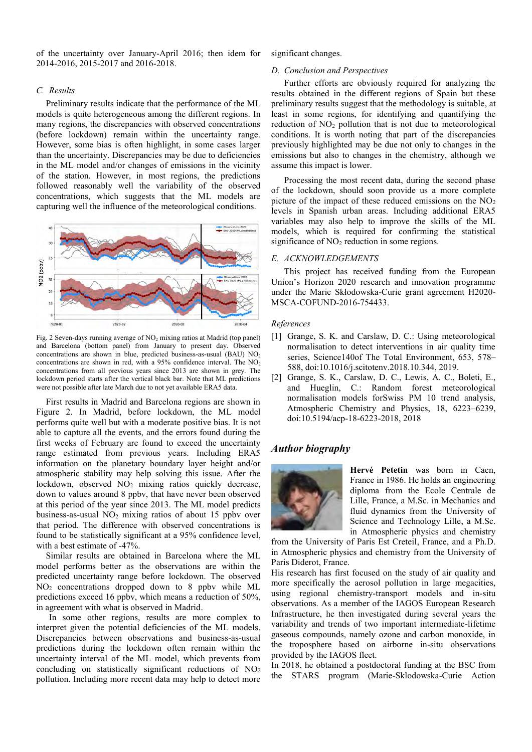of the uncertainty over January-April 2016; then idem for 2014-2016, 2015-2017 and 2016-2018.

## *C. Results*

Preliminary results indicate that the performance of the ML models is quite heterogeneous among the different regions. In many regions, the discrepancies with observed concentrations (before lockdown) remain within the uncertainty range. However, some bias is often highlight, in some cases larger than the uncertainty. Discrepancies may be due to deficiencies in the ML model and/or changes of emissions in the vicinity of the station. However, in most regions, the predictions followed reasonably well the variability of the observed concentrations, which suggests that the ML models are capturing well the influence of the meteorological conditions.



Fig. 2 Seven-days running average of  $NO<sub>2</sub>$  mixing ratios at Madrid (top panel) and Barcelona (bottom panel) from January to present day. Observed concentrations are shown in blue, predicted business-as-usual (BAU)  $NO<sub>2</sub>$ concentrations are shown in red, with a 95% confidence interval. The NO<sub>2</sub> concentrations from all previous years since 2013 are shown in grey. The lockdown period starts after the vertical black bar. Note that ML predictions were not possible after late March due to not yet available ERA5 data.

First results in Madrid and Barcelona regions are shown in Figure 2. In Madrid, before lockdown, the ML model performs quite well but with a moderate positive bias. It is not able to capture all the events, and the errors found during the first weeks of February are found to exceed the uncertainty range estimated from previous years. Including ERA5 information on the planetary boundary layer height and/or atmospheric stability may help solving this issue. After the lockdown, observed  $NO<sub>2</sub>$  mixing ratios quickly decrease, down to values around 8 ppbv, that have never been observed at this period of the year since 2013. The ML model predicts business-as-usual  $NO<sub>2</sub>$  mixing ratios of about 15 ppbv over that period. The difference with observed concentrations is found to be statistically significant at a 95% confidence level, with a best estimate of -47%.

Similar results are obtained in Barcelona where the ML model performs better as the observations are within the predicted uncertainty range before lockdown. The observed NO<sup>2</sup> concentrations dropped down to 8 ppbv while ML predictions exceed 16 ppbv, which means a reduction of 50%, in agreement with what is observed in Madrid.

In some other regions, results are more complex to interpret given the potential deficiencies of the ML models. Discrepancies between observations and business-as-usual predictions during the lockdown often remain within the uncertainty interval of the ML model, which prevents from concluding on statistically significant reductions of  $NO<sub>2</sub>$ pollution. Including more recent data may help to detect more

significant changes.

## *D. Conclusion and Perspectives*

Further efforts are obviously required for analyzing the results obtained in the different regions of Spain but these preliminary results suggest that the methodology is suitable, at least in some regions, for identifying and quantifying the reduction of  $NO<sub>2</sub>$  pollution that is not due to meteorological conditions. It is worth noting that part of the discrepancies previously highlighted may be due not only to changes in the emissions but also to changes in the chemistry, although we assume this impact is lower.

Processing the most recent data, during the second phase of the lockdown, should soon provide us a more complete picture of the impact of these reduced emissions on the  $NO<sub>2</sub>$ levels in Spanish urban areas. Including additional ERA5 variables may also help to improve the skills of the ML models, which is required for confirming the statistical significance of NO<sub>2</sub> reduction in some regions.

# *E. ACKNOWLEDGEMENTS*

This project has received funding from the European Union's Horizon 2020 research and innovation programme under the Marie Skłodowska-Curie grant agreement H2020- MSCA-COFUND-2016-754433.

#### *References*

- [1] Grange, S. K. and Carslaw, D. C.: Using meteorological normalisation to detect interventions in air quality time series, Science140of The Total Environment, 653, 578– 588, doi:10.1016/j.scitotenv.2018.10.344, 2019.
- [2] Grange, S. K., Carslaw, D. C., Lewis, A. C., Boleti, E., and Hueglin, C.: Random forest meteorological normalisation models forSwiss PM 10 trend analysis, Atmospheric Chemistry and Physics, 18, 6223–6239, doi:10.5194/acp-18-6223-2018, 2018

# *Author biography*



**Hervé Petetin** was born in Caen, France in 1986. He holds an engineering diploma from the Ecole Centrale de Lille, France, a M.Sc. in Mechanics and fluid dynamics from the University of Science and Technology Lille, a M.Sc. in Atmospheric physics and chemistry

from the University of Paris Est Creteil, France, and a Ph.D. in Atmospheric physics and chemistry from the University of Paris Diderot, France.

His research has first focused on the study of air quality and more specifically the aerosol pollution in large megacities, using regional chemistry-transport models and in-situ observations. As a member of the IAGOS European Research Infrastructure, he then investigated during several years the variability and trends of two important intermediate-lifetime gaseous compounds, namely ozone and carbon monoxide, in the troposphere based on airborne in-situ observations provided by the IAGOS fleet.

In 2018, he obtained a postdoctoral funding at the BSC from the STARS program (Marie-Sklodowska-Curie Action